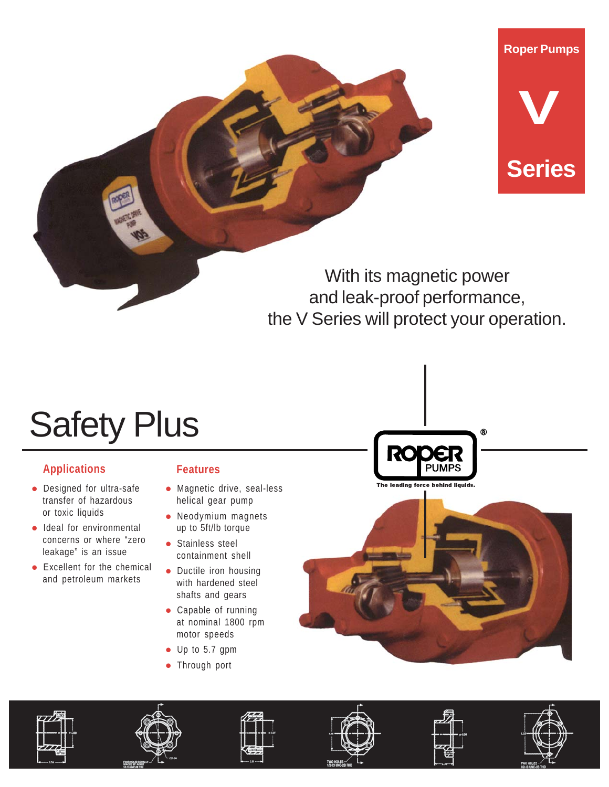



With its magnetic power and leak-proof performance, the V Series will protect your operation.

# Safety Plus

## **Applications Features**

- Designed for ultra-safe transfer of hazardous or toxic liquids
- Ideal for environmental concerns or where "zero leakage" is an issue
- Excellent for the chemical and petroleum markets

- Magnetic drive, seal-less helical gear pump
- Neodymium magnets up to 5ft/lb torque
- **·** Stainless steel containment shell
- Ductile iron housing with hardened steel shafts and gears
- Capable of running at nominal 1800 rpm motor speeds
- Up to 5.7 gpm
- Through port















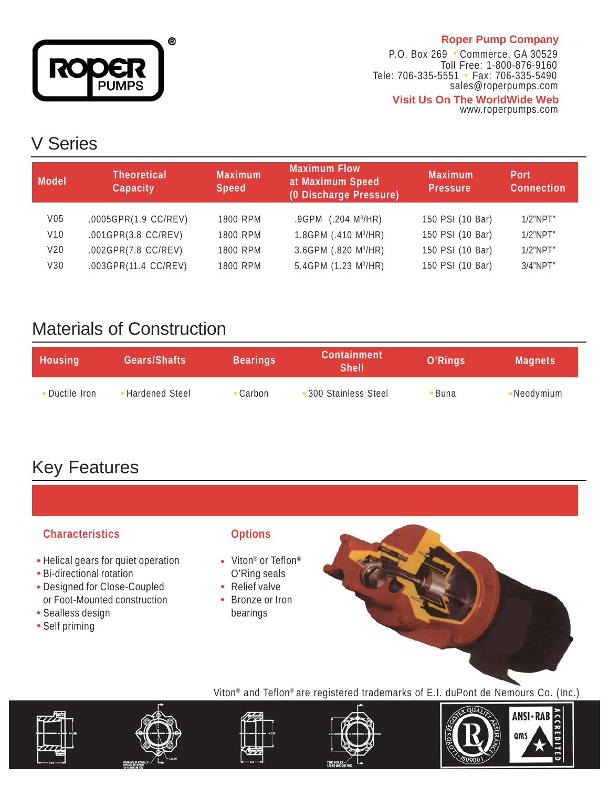

## **Roper Pump Company**

P.O. Box 269 . Commerce, GA 30529 Tele: 706-335-5551 • Fax: 706-335-5490 sales@roperpumps.com **Visit Us On The WorldWide Web** Toll Free: 1-800-876-9160

www.roperpumps.com

## V Series

| Model           | <b>Theoretical</b><br>Capacity | <b>Maximum</b><br><b>Speed</b> | <b>Maximum Flow</b><br>at Maximum Speed<br>(0 Discharge Pressure) | <b>Maximum</b><br><b>Pressure</b> | <b>Port</b><br><b>Connection</b> |
|-----------------|--------------------------------|--------------------------------|-------------------------------------------------------------------|-----------------------------------|----------------------------------|
| V <sub>05</sub> | .0005GPR(1.9 CC/REV)           | 1800 RPM                       | $.9$ GPM $(.204 \text{ M}^3/\text{HR})$                           | 150 PSI (10 Bar)                  | $1/2$ "NPT"                      |
| V10             | .001GPR(3.8 CC/REV)            | 1800 RPM                       | 1.8GPM (.410 M <sup>3</sup> /HR)                                  | 150 PSI (10 Bar)                  | $1/2$ "NPT"                      |
| V <sub>20</sub> | .002GPR(7.8 CC/REV)            | 1800 RPM                       | 3.6GPM (.820 M <sup>3</sup> /HR)                                  | 150 PSI (10 Bar)                  | $1/2$ "NPT"                      |
| V30             | .003GPR(11.4 CC/REV)           | 1800 RPM                       | 5.4GPM (1.23 M <sup>3</sup> /HR)                                  | 150 PSI (10 Bar)                  | $3/4$ "NPT"                      |

## Materials of Construction

| <b>Housing</b> | Gears/Shafts   | <b>Bearings</b> | <b>Containment</b><br><b>Shell</b> | O'Rings | <b>Magnets</b> |
|----------------|----------------|-----------------|------------------------------------|---------|----------------|
| Ductile Iron   | Hardened Steel | • Carbon        | • 300 Stainless Steel              | `Buna   | •Neodymium     |

## Key Features

## **Characteristics Options**

- Helical gears for quiet operation Viton® or Teflon®
- Bi-directional rotation **O'Ring seals**
- Designed for Close-Coupled Relief valve or Foot-Mounted construction • Bronze or Iron
- Sealless design bearings
- Self priming

- 
- 
- 











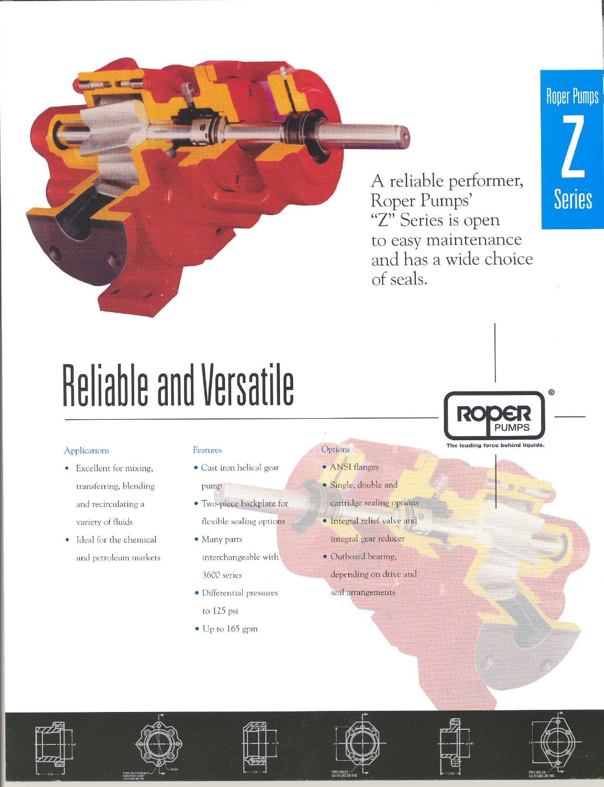## **Roper Pumps**



A reliable performer, Roper Pumps' "Z" Series is open to easy maintenance and has a wide choice of seals.

The leading force behind liquids

# **Reliable and Versatile**

### Applications

- Excellent for mixing, transferring, blending and recirculating a variety of fluids
- Ideal for the chemical  $\bullet$ and petroleum markets

#### Features

- · Cast iron helical gear pump
- · Two-piece backplate for flexible sealing options
- Many parts interchangeable with 3600 series
- · Differential pressures
	- to 125 psi
- $\bullet$  Up to 165 gpm

• ANSI flanges

Options

- · Single, double and
- cartridge sealing options
- · Integral relief valve and integral gear reducer
- · Outboard bearing, depending on drive and seal arrangements